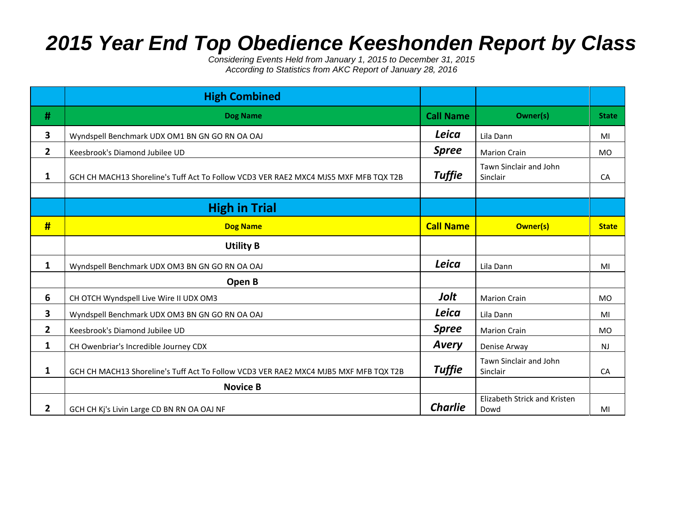## *2015 Year End Top Obedience Keeshonden Report by Class*

*Considering Events Held from January 1, 2015 to December 31, 2015 According to Statistics from AKC Report of January 28, 2016*

|                | <b>High Combined</b>                                                                 |                  |                                      |              |
|----------------|--------------------------------------------------------------------------------------|------------------|--------------------------------------|--------------|
| #              | <b>Dog Name</b>                                                                      | <b>Call Name</b> | Owner(s)                             | <b>State</b> |
| 3              | Wyndspell Benchmark UDX OM1 BN GN GO RN OA OAJ                                       | Leica            | Lila Dann                            | MI           |
| $\overline{2}$ | Keesbrook's Diamond Jubilee UD                                                       | <b>Spree</b>     | <b>Marion Crain</b>                  | <b>MO</b>    |
| 1              | GCH CH MACH13 Shoreline's Tuff Act To Follow VCD3 VER RAE2 MXC4 MJS5 MXF MFB TQX T2B | <b>Tuffie</b>    | Tawn Sinclair and John<br>Sinclair   | CA           |
|                |                                                                                      |                  |                                      |              |
|                | <b>High in Trial</b>                                                                 |                  |                                      |              |
| #              | <b>Dog Name</b>                                                                      | <b>Call Name</b> | <b>Owner(s)</b>                      | <b>State</b> |
|                | <b>Utility B</b>                                                                     |                  |                                      |              |
| 1              | Wyndspell Benchmark UDX OM3 BN GN GO RN OA OAJ                                       | Leica            | Lila Dann                            | MI           |
|                | Open B                                                                               |                  |                                      |              |
| 6              | CH OTCH Wyndspell Live Wire II UDX OM3                                               | Jolt             | <b>Marion Crain</b>                  | <b>MO</b>    |
| 3              | Wyndspell Benchmark UDX OM3 BN GN GO RN OA OAJ                                       | Leica            | Lila Dann                            | MI           |
| $\mathbf{2}$   | Keesbrook's Diamond Jubilee UD                                                       | <b>Spree</b>     | <b>Marion Crain</b>                  | <b>MO</b>    |
| 1              | CH Owenbriar's Incredible Journey CDX                                                | <b>Avery</b>     | Denise Arway                         | <b>NJ</b>    |
| 1              | GCH CH MACH13 Shoreline's Tuff Act To Follow VCD3 VER RAE2 MXC4 MJB5 MXF MFB TQX T2B | <b>Tuffie</b>    | Tawn Sinclair and John<br>Sinclair   | CA           |
|                | <b>Novice B</b>                                                                      |                  |                                      |              |
| 2              | GCH CH Kj's Livin Large CD BN RN OA OAJ NF                                           | <b>Charlie</b>   | Elizabeth Strick and Kristen<br>Dowd | MI           |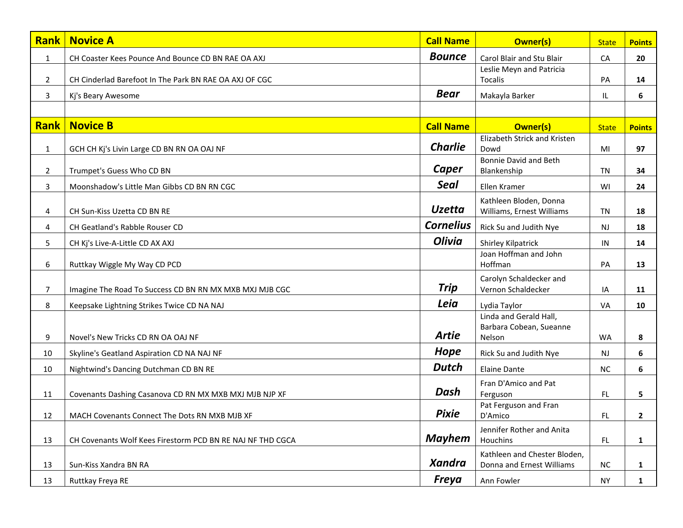| <b>Rank</b>    | <b>Novice A</b>                                            | <b>Call Name</b> | <b>Owner(s)</b>                                             | <b>State</b> | <b>Points</b> |
|----------------|------------------------------------------------------------|------------------|-------------------------------------------------------------|--------------|---------------|
| $\mathbf{1}$   | CH Coaster Kees Pounce And Bounce CD BN RAE OA AXJ         | <b>Bounce</b>    | Carol Blair and Stu Blair                                   | CA           | 20            |
| $\overline{2}$ | CH Cinderlad Barefoot In The Park BN RAE OA AXJ OF CGC     |                  | Leslie Meyn and Patricia<br>Tocalis                         | PA           | 14            |
| 3              | Kj's Beary Awesome                                         | <b>Bear</b>      | Makayla Barker                                              | IL           | 6             |
|                |                                                            |                  |                                                             |              |               |
| <b>Rank</b>    | <b>Novice B</b>                                            | <b>Call Name</b> | <b>Owner(s)</b>                                             | <b>State</b> | <b>Points</b> |
| $\mathbf{1}$   | GCH CH Kj's Livin Large CD BN RN OA OAJ NF                 | <b>Charlie</b>   | Elizabeth Strick and Kristen<br>Dowd                        | MI           | 97            |
| $\overline{2}$ | Trumpet's Guess Who CD BN                                  | Caper            | Bonnie David and Beth<br>Blankenship                        | TN           | 34            |
| $\overline{3}$ | Moonshadow's Little Man Gibbs CD BN RN CGC                 | <b>Seal</b>      | Ellen Kramer                                                | WI           | 24            |
| 4              | CH Sun-Kiss Uzetta CD BN RE                                | <b>Uzetta</b>    | Kathleen Bloden, Donna<br>Williams, Ernest Williams         | TN           | 18            |
| 4              | CH Geatland's Rabble Rouser CD                             | <b>Cornelius</b> | Rick Su and Judith Nye                                      | <b>NJ</b>    | 18            |
| 5              | CH Kj's Live-A-Little CD AX AXJ                            | <b>Olivia</b>    | <b>Shirley Kilpatrick</b>                                   | IN           | 14            |
| 6              | Ruttkay Wiggle My Way CD PCD                               |                  | Joan Hoffman and John<br>Hoffman                            | PA           | 13            |
| $\overline{7}$ | Imagine The Road To Success CD BN RN MX MXB MXJ MJB CGC    | Trip             | Carolyn Schaldecker and<br>Vernon Schaldecker               | IA           | 11            |
| 8              | Keepsake Lightning Strikes Twice CD NA NAJ                 | Leia             | Lydia Taylor                                                | VA           | 10            |
| 9              | Novel's New Tricks CD RN OA OAJ NF                         | <b>Artie</b>     | Linda and Gerald Hall,<br>Barbara Cobean, Sueanne<br>Nelson | WA           | 8             |
| 10             | Skyline's Geatland Aspiration CD NA NAJ NF                 | <b>Hope</b>      | Rick Su and Judith Nye                                      | <b>NJ</b>    | 6             |
| 10             | Nightwind's Dancing Dutchman CD BN RE                      | <b>Dutch</b>     | <b>Elaine Dante</b>                                         | <b>NC</b>    | 6             |
| 11             | Covenants Dashing Casanova CD RN MX MXB MXJ MJB NJP XF     | Dash             | Fran D'Amico and Pat<br>Ferguson                            | FL.          | 5             |
| 12             | MACH Covenants Connect The Dots RN MXB MJB XF              | <b>Pixie</b>     | Pat Ferguson and Fran<br>D'Amico                            | FL           | $\mathbf{2}$  |
| 13             | CH Covenants Wolf Kees Firestorm PCD BN RE NAJ NF THD CGCA | <b>Mayhem</b>    | Jennifer Rother and Anita<br>Houchins                       | FL.          | $\mathbf{1}$  |
| 13             | Sun-Kiss Xandra BN RA                                      | <b>Xandra</b>    | Kathleen and Chester Bloden,<br>Donna and Ernest Williams   | <b>NC</b>    | 1             |
| 13             | Ruttkay Freya RE                                           | <b>Freya</b>     | Ann Fowler                                                  | <b>NY</b>    | $\mathbf{1}$  |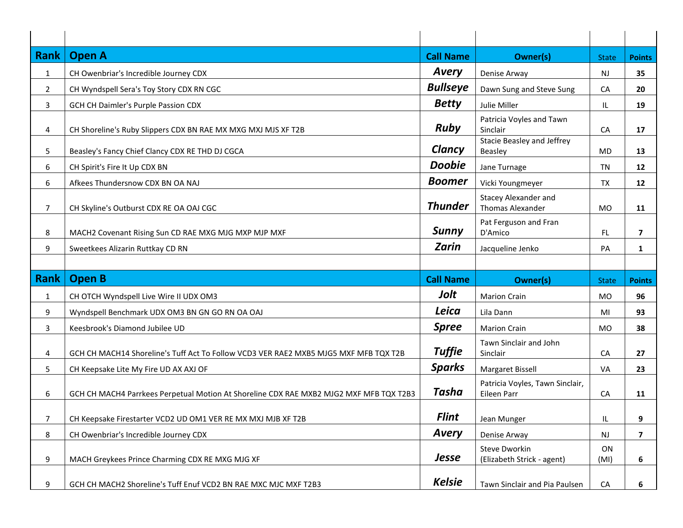| <b>Rank</b>    | <b>Open A</b>                                                                          | <b>Call Name</b> | Owner(s)                                               | <b>State</b> | <b>Points</b>  |
|----------------|----------------------------------------------------------------------------------------|------------------|--------------------------------------------------------|--------------|----------------|
| $\mathbf{1}$   | CH Owenbriar's Incredible Journey CDX                                                  | <b>Avery</b>     | Denise Arway                                           | <b>NJ</b>    | 35             |
| $\overline{2}$ | CH Wyndspell Sera's Toy Story CDX RN CGC                                               | <b>Bullseye</b>  | Dawn Sung and Steve Sung                               | CA           | 20             |
| 3              | GCH CH Daimler's Purple Passion CDX                                                    | <b>Betty</b>     | Julie Miller                                           | IL           | 19             |
| 4              | CH Shoreline's Ruby Slippers CDX BN RAE MX MXG MXJ MJS XF T2B                          | <b>Ruby</b>      | Patricia Voyles and Tawn<br>Sinclair                   | CA           | 17             |
| 5              | Beasley's Fancy Chief Clancy CDX RE THD DJ CGCA                                        | Clancy           | <b>Stacie Beasley and Jeffrey</b><br>Beasley           | MD           | 13             |
| 6              | CH Spirit's Fire It Up CDX BN                                                          | <b>Doobie</b>    | Jane Turnage                                           | TN           | 12             |
| 6              | Afkees Thundersnow CDX BN OA NAJ                                                       | <b>Boomer</b>    | Vicki Youngmeyer                                       | TX           | 12             |
| $\overline{7}$ | CH Skyline's Outburst CDX RE OA OAJ CGC                                                | <b>Thunder</b>   | <b>Stacey Alexander and</b><br><b>Thomas Alexander</b> | <b>MO</b>    | 11             |
| 8              | MACH2 Covenant Rising Sun CD RAE MXG MJG MXP MJP MXF                                   | <b>Sunny</b>     | Pat Ferguson and Fran<br>D'Amico                       | FL.          | $\overline{7}$ |
| 9              | Sweetkees Alizarin Ruttkay CD RN                                                       | Zarin            | Jacqueline Jenko                                       | PA           | 1              |
|                |                                                                                        |                  |                                                        |              |                |
| <b>Rank</b>    | <b>Open B</b>                                                                          | <b>Call Name</b> | <b>Owner(s)</b>                                        | <b>State</b> | <b>Points</b>  |
| $\mathbf{1}$   | CH OTCH Wyndspell Live Wire II UDX OM3                                                 | Jolt             | <b>Marion Crain</b>                                    | <b>MO</b>    | 96             |
| 9              | Wyndspell Benchmark UDX OM3 BN GN GO RN OA OAJ                                         | Leica            | Lila Dann                                              | MI           | 93             |
| 3              | Keesbrook's Diamond Jubilee UD                                                         | <b>Spree</b>     | <b>Marion Crain</b>                                    | <b>MO</b>    | 38             |
| 4              | GCH CH MACH14 Shoreline's Tuff Act To Follow VCD3 VER RAE2 MXB5 MJG5 MXF MFB TQX T2B   | <b>Tuffie</b>    | Tawn Sinclair and John<br>Sinclair                     | CA           | 27             |
| 5              | CH Keepsake Lite My Fire UD AX AXJ OF                                                  | <b>Sparks</b>    | Margaret Bissell                                       | VA           | 23             |
| 6              | GCH CH MACH4 Parrkees Perpetual Motion At Shoreline CDX RAE MXB2 MJG2 MXF MFB TQX T2B3 | Tasha            | Patricia Voyles, Tawn Sinclair,<br>Eileen Parr         | CA           | 11             |
| $\overline{7}$ | CH Keepsake Firestarter VCD2 UD OM1 VER RE MX MXJ MJB XF T2B                           | <b>Flint</b>     | Jean Munger                                            | IL.          | 9              |
| 8              | CH Owenbriar's Incredible Journey CDX                                                  | <b>Avery</b>     | Denise Arway                                           | <b>NJ</b>    | $\overline{7}$ |
| 9              | MACH Greykees Prince Charming CDX RE MXG MJG XF                                        | <b>Jesse</b>     | <b>Steve Dworkin</b><br>(Elizabeth Strick - agent)     | ON<br>(MI)   | 6              |
| 9              | GCH CH MACH2 Shoreline's Tuff Enuf VCD2 BN RAE MXC MJC MXF T2B3                        | <b>Kelsie</b>    | Tawn Sinclair and Pia Paulsen                          | CA           | 6              |